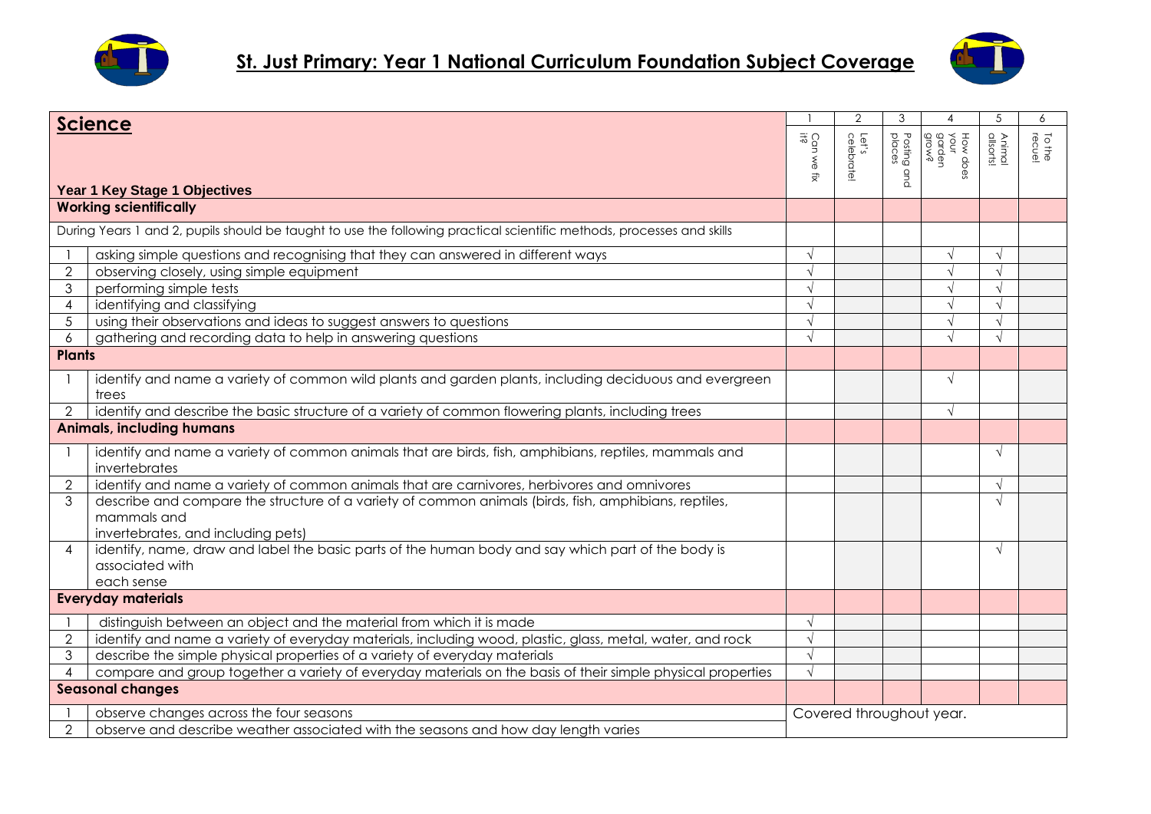



| <b>Science</b>                   |                                                                                                                                                            |                          | $\overline{2}$      | 3                        | 4                                   | 5                          | 6                |
|----------------------------------|------------------------------------------------------------------------------------------------------------------------------------------------------------|--------------------------|---------------------|--------------------------|-------------------------------------|----------------------------|------------------|
| Year 1 Key Stage 1 Objectives    |                                                                                                                                                            | Can we<br>if?<br>럊       | Let's<br>celebrate! | Posting<br>places<br>and | How does<br>your<br>garden<br>grow? | <b>Animal</b><br>allsorts! | To the<br>recuel |
|                                  | <b>Working scientifically</b>                                                                                                                              |                          |                     |                          |                                     |                            |                  |
|                                  | During Years 1 and 2, pupils should be taught to use the following practical scientific methods, processes and skills                                      |                          |                     |                          |                                     |                            |                  |
|                                  | asking simple questions and recognising that they can answered in different ways                                                                           |                          |                     |                          | $\sqrt{ }$                          | $\sqrt{ }$                 |                  |
| $\overline{2}$                   | observing closely, using simple equipment                                                                                                                  |                          |                     |                          | $\sqrt{}$                           |                            |                  |
| 3                                | performing simple tests                                                                                                                                    |                          |                     |                          | $\sqrt{}$                           |                            |                  |
| $\overline{4}$                   | identifying and classifying                                                                                                                                |                          |                     |                          | $\sqrt{ }$                          | $\sqrt{ }$                 |                  |
| 5                                | using their observations and ideas to suggest answers to questions                                                                                         |                          |                     |                          | $\sqrt{ }$                          | $\sqrt{ }$                 |                  |
| 6                                | gathering and recording data to help in answering questions                                                                                                | $\sqrt{ }$               |                     |                          | $\sqrt{ }$                          | $\sqrt{ }$                 |                  |
| <b>Plants</b>                    |                                                                                                                                                            |                          |                     |                          |                                     |                            |                  |
|                                  | identify and name a variety of common wild plants and garden plants, including deciduous and evergreen<br>trees                                            |                          |                     |                          | $\sqrt{ }$                          |                            |                  |
| $\overline{2}$                   | identify and describe the basic structure of a variety of common flowering plants, including trees                                                         |                          |                     |                          | $\sqrt{ }$                          |                            |                  |
| <b>Animals, including humans</b> |                                                                                                                                                            |                          |                     |                          |                                     |                            |                  |
|                                  | identify and name a variety of common animals that are birds, fish, amphibians, reptiles, mammals and<br>invertebrates                                     |                          |                     |                          |                                     | $\sqrt{ }$                 |                  |
| $\overline{2}$                   | identify and name a variety of common animals that are carnivores, herbivores and omnivores                                                                |                          |                     |                          |                                     | $\sqrt{}$                  |                  |
| 3                                | describe and compare the structure of a variety of common animals (birds, fish, amphibians, reptiles,<br>mammals and<br>invertebrates, and including pets) |                          |                     |                          |                                     | $\sqrt{ }$                 |                  |
| $\overline{\mathcal{A}}$         | identify, name, draw and label the basic parts of the human body and say which part of the body is<br>associated with<br>each sense                        |                          |                     |                          |                                     | $\sqrt{ }$                 |                  |
|                                  | <b>Everyday materials</b>                                                                                                                                  |                          |                     |                          |                                     |                            |                  |
|                                  | distinguish between an object and the material from which it is made                                                                                       |                          |                     |                          |                                     |                            |                  |
| $\overline{2}$                   | identify and name a variety of everyday materials, including wood, plastic, glass, metal, water, and rock                                                  | $\sqrt{ }$               |                     |                          |                                     |                            |                  |
| 3                                | describe the simple physical properties of a variety of everyday materials                                                                                 | $\sqrt{ }$               |                     |                          |                                     |                            |                  |
| $\overline{4}$                   | compare and group together a variety of everyday materials on the basis of their simple physical properties                                                | $\sqrt{ }$               |                     |                          |                                     |                            |                  |
|                                  | <b>Seasonal changes</b>                                                                                                                                    |                          |                     |                          |                                     |                            |                  |
|                                  | observe changes across the four seasons                                                                                                                    | Covered throughout year. |                     |                          |                                     |                            |                  |
| $\overline{2}$                   | observe and describe weather associated with the seasons and how day length varies                                                                         |                          |                     |                          |                                     |                            |                  |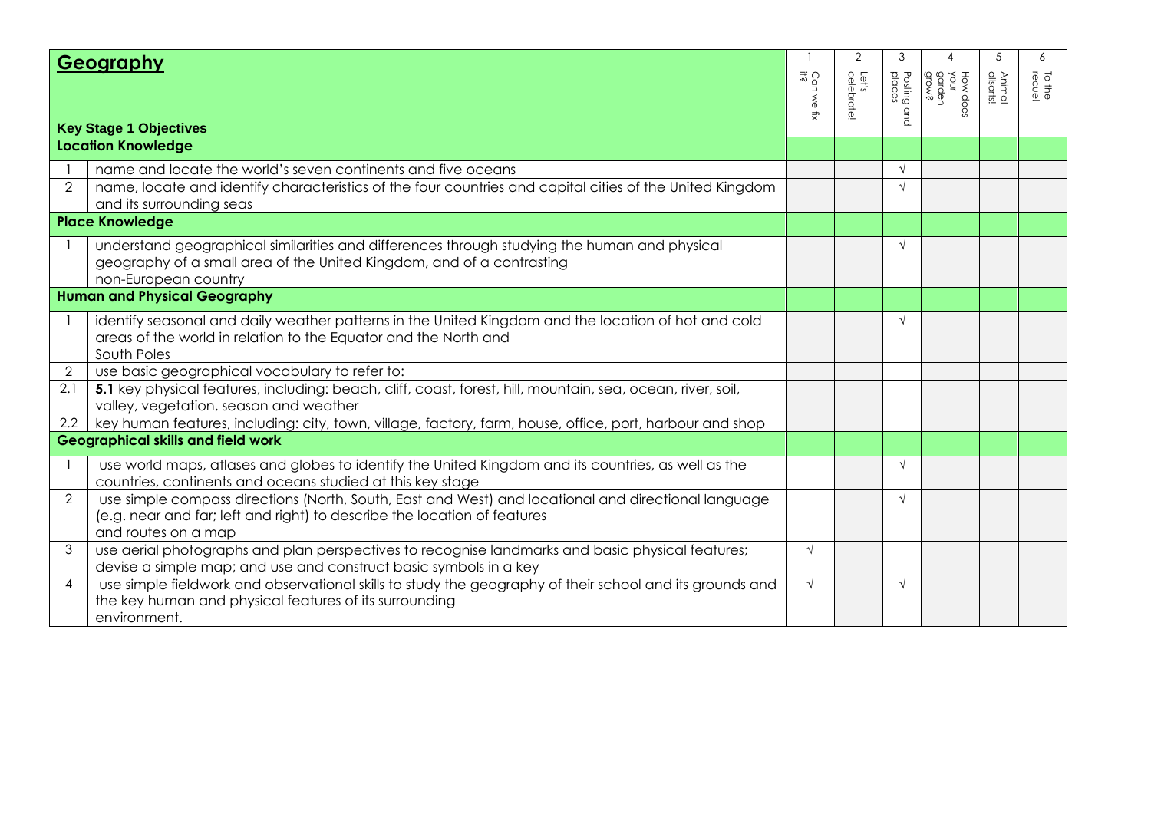| Geography                     |                                                                                                                                                                                                        |                     | $\overline{2}$      | 3                        | Δ                         | 5                          | 6                |
|-------------------------------|--------------------------------------------------------------------------------------------------------------------------------------------------------------------------------------------------------|---------------------|---------------------|--------------------------|---------------------------|----------------------------|------------------|
| <b>Key Stage 1 Objectives</b> |                                                                                                                                                                                                        | Can we<br>it?<br>÷, | Let's<br>celebrate! | Posting<br>places<br>qnd | How do<br>garden<br>grow? | <b>Animal</b><br>allsorts! | To the<br>Io the |
|                               | <b>Location Knowledge</b>                                                                                                                                                                              |                     |                     |                          |                           |                            |                  |
|                               | name and locate the world's seven continents and five oceans                                                                                                                                           |                     |                     | $\sqrt{ }$               |                           |                            |                  |
| 2                             | name, locate and identify characteristics of the four countries and capital cities of the United Kingdom<br>and its surrounding seas                                                                   |                     |                     | $\sqrt{ }$               |                           |                            |                  |
|                               | <b>Place Knowledge</b>                                                                                                                                                                                 |                     |                     |                          |                           |                            |                  |
|                               | understand geographical similarities and differences through studying the human and physical<br>geography of a small area of the United Kingdom, and of a contrasting<br>non-European country          |                     |                     | $\sqrt{ }$               |                           |                            |                  |
|                               | <b>Human and Physical Geography</b>                                                                                                                                                                    |                     |                     |                          |                           |                            |                  |
|                               | identify seasonal and daily weather patterns in the United Kingdom and the location of hot and cold<br>areas of the world in relation to the Equator and the North and<br>South Poles                  |                     |                     | $\sqrt{ }$               |                           |                            |                  |
| $\overline{2}$                | use basic geographical vocabulary to refer to:                                                                                                                                                         |                     |                     |                          |                           |                            |                  |
| 2.1                           | 5.1 key physical features, including: beach, cliff, coast, forest, hill, mountain, sea, ocean, river, soil,<br>valley, vegetation, season and weather                                                  |                     |                     |                          |                           |                            |                  |
| $2.2\phantom{0}$              | key human features, including: city, town, village, factory, farm, house, office, port, harbour and shop                                                                                               |                     |                     |                          |                           |                            |                  |
|                               | <b>Geographical skills and field work</b>                                                                                                                                                              |                     |                     |                          |                           |                            |                  |
|                               | use world maps, atlases and globes to identify the United Kingdom and its countries, as well as the<br>countries, continents and oceans studied at this key stage                                      |                     |                     | $\sqrt{ }$               |                           |                            |                  |
| 2                             | use simple compass directions (North, South, East and West) and locational and directional language<br>(e.g. near and far; left and right) to describe the location of features<br>and routes on a map |                     |                     | $\sqrt{ }$               |                           |                            |                  |
| 3                             | use aerial photographs and plan perspectives to recognise landmarks and basic physical features;<br>devise a simple map; and use and construct basic symbols in a key                                  | $\sqrt{ }$          |                     |                          |                           |                            |                  |
| $\overline{4}$                | use simple fieldwork and observational skills to study the geography of their school and its grounds and<br>the key human and physical features of its surrounding<br>environment.                     | $\sqrt{ }$          |                     | $\sqrt{ }$               |                           |                            |                  |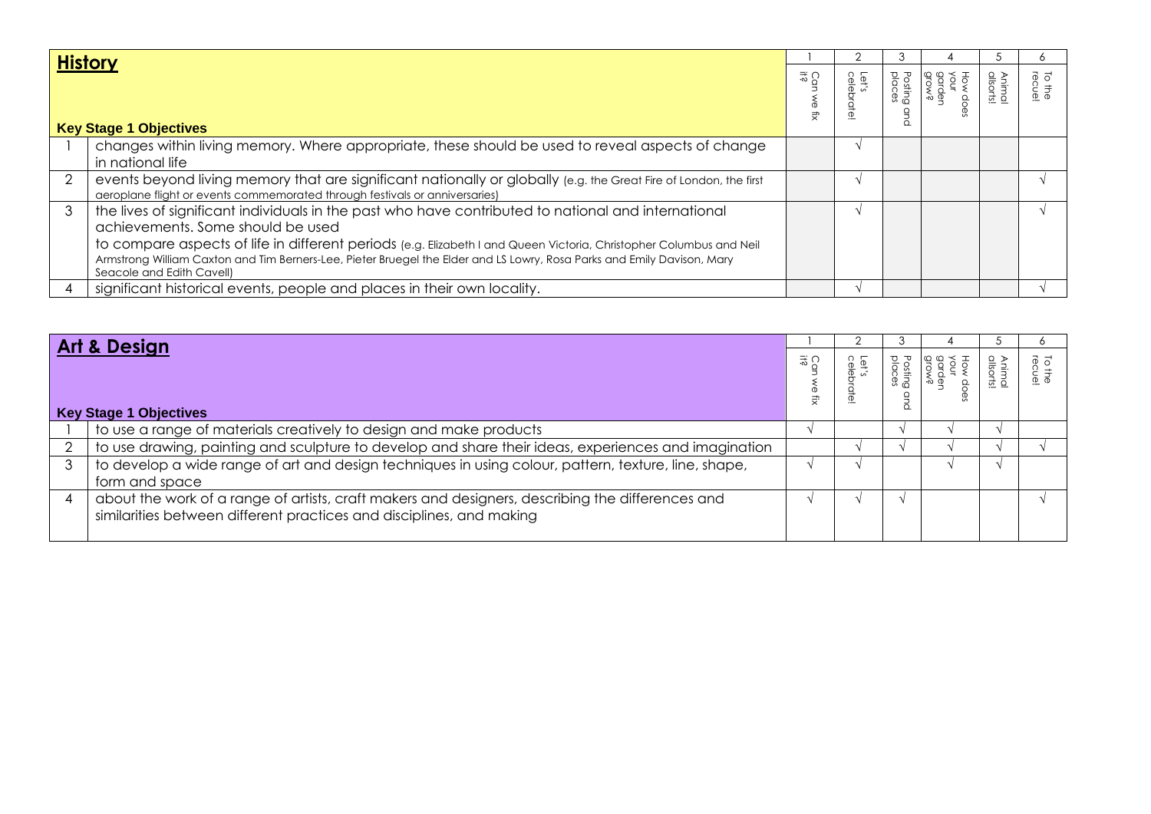| <b>History</b>                |                                                                                                                                                                                                                                                                                                                                                                                                                         |                |                |                              |                         |               |                 |
|-------------------------------|-------------------------------------------------------------------------------------------------------------------------------------------------------------------------------------------------------------------------------------------------------------------------------------------------------------------------------------------------------------------------------------------------------------------------|----------------|----------------|------------------------------|-------------------------|---------------|-----------------|
| <b>Key Stage 1 Objectives</b> |                                                                                                                                                                                                                                                                                                                                                                                                                         | 공유<br>ଚି<br>₹, | Let's<br>celel | Posting<br>places<br>$\circ$ | HOW D<br>Sunde<br>Prove | Anin<br>allso | To the<br>recue |
|                               | changes within living memory. Where appropriate, these should be used to reveal aspects of change<br>in national life                                                                                                                                                                                                                                                                                                   |                |                |                              |                         |               |                 |
|                               | events beyond living memory that are significant nationally or globally (e.g. the Great Fire of London, the first<br>aeroplane flight or events commemorated through festivals or anniversaries)                                                                                                                                                                                                                        |                |                |                              |                         |               |                 |
| 3                             | the lives of significant individuals in the past who have contributed to national and international<br>achievements. Some should be used<br>to compare aspects of life in different periods (e.g. Elizabeth I and Queen Victoria, Christopher Columbus and Neil<br>Armstrong William Caxton and Tim Berners-Lee, Pieter Bruegel the Elder and LS Lowry, Rosa Parks and Emily Davison, Mary<br>Seacole and Edith Cavell) |                |                |                              |                         |               |                 |
|                               | significant historical events, people and places in their own locality.                                                                                                                                                                                                                                                                                                                                                 |                |                |                              |                         |               |                 |

| Art & Design                                                                                                                                                             |                |                          |                           |              |
|--------------------------------------------------------------------------------------------------------------------------------------------------------------------------|----------------|--------------------------|---------------------------|--------------|
| <b>Key Stage 1 Objectives</b>                                                                                                                                            | $\frac{31}{6}$ | <b>Posting</b><br>places | <b>Animal</b><br>allsorts | ro r<br>Tect |
| to use a range of materials creatively to design and make products                                                                                                       |                |                          |                           |              |
| to use drawing, painting and sculpture to develop and share their ideas, experiences and imagination                                                                     |                |                          |                           |              |
| to develop a wide range of art and design techniques in using colour, pattern, texture, line, shape,<br>form and space                                                   |                |                          |                           |              |
| about the work of a range of artists, craft makers and designers, describing the differences and<br>similarities between different practices and disciplines, and making |                |                          |                           |              |